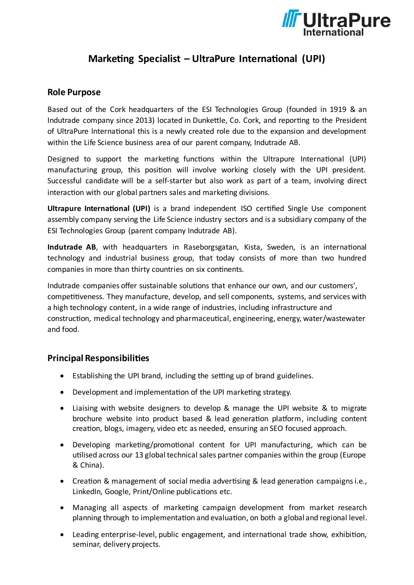

# **Marketing Specialist – UltraPure International (UPI)**

### **Role Purpose**

Based out of the Cork headquarters of the ESI Technologies Group (founded in 1919 & an Indutrade company since 2013) located in Dunkettle, Co. Cork, and reporting to the President of UltraPure International this is a newly created role due to the expansion and development within the Life Science business area of our parent company, Indutrade AB.

Designed to support the marketing functions within the Ultrapure International (UPI) manufacturing group, this position will involve working closely with the UPI president. Successful candidate will be a self-starter but also work as part of a team, involving direct interaction with our global partners sales and marketing divisions.

**Ultrapure International (UPI)** is a brand independent ISO certified Single Use component assembly company serving the Life Science industry sectors and is a subsidiary company of the ESI Technologies Group (parent company Indutrade AB).

**Indutrade AB**, with headquarters in Raseborgsgatan, Kista, Sweden, is an international technology and industrial business group, that today consists of more than two hundred companies in more than thirty countries on six continents.

Indutrade companies offer sustainable solutions that enhance our own, and our customers', competitiveness. They manufacture, develop, and sell components, systems, and services with a high technology content, in a wide range of industries, including infrastructure and construction, medical technology and pharmaceutical, engineering, energy, water/wastewater and food.

### **Principal Responsibilities**

- Establishing the UPI brand, including the setting up of brand guidelines.
- Development and implementation of the UPI marketing strategy.
- Liaising with website designers to develop & manage the UPI website & to migrate brochure website into product based & lead generation platform, including content creation, blogs, imagery, video etc as needed, ensuring an SEO focused approach.
- Developing marketing/promotional content for UPI manufacturing, which can be utilised across our 13 global technical sales partner companies within the group (Europe & China).
- Creation & management of social media advertising & lead generation campaigns i.e., LinkedIn, Google, Print/Online publications etc.
- Managing all aspects of marketing campaign development from market research planning through to implementation and evaluation, on both a global and regional level.
- Leading enterprise-level, public engagement, and international trade show, exhibition, seminar, delivery projects.